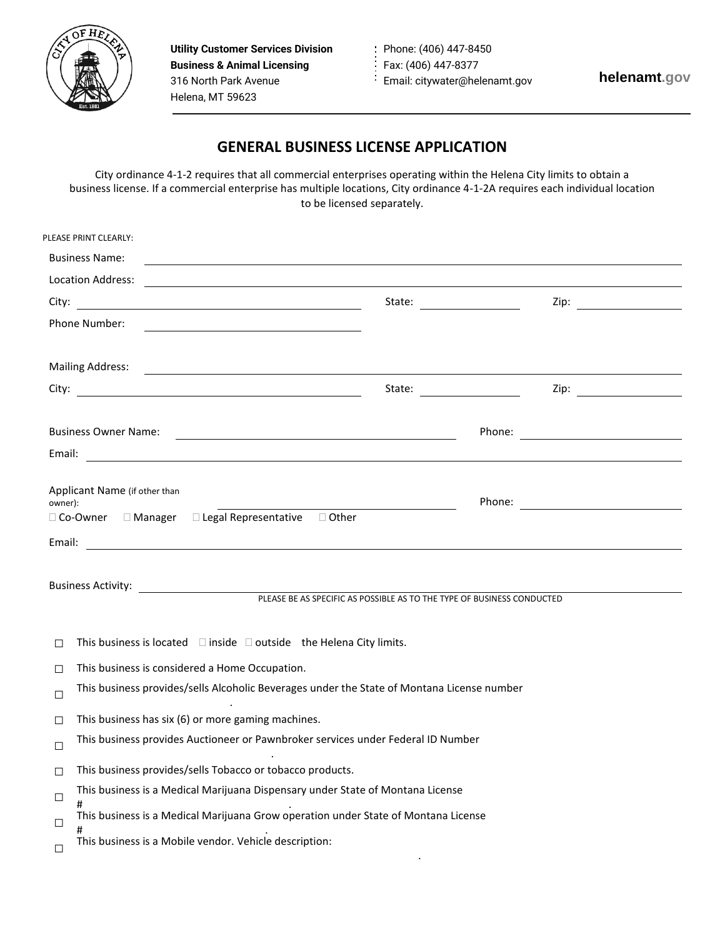

**Utility Customer Services Division : Phone: (406) 447-8450 Business & Animal Licensing Fax: (406) 447-8377** 316 North Park Avenue **Email:** citywater@helenamt.gov Helena, MT 59623

## **GENERAL BUSINESS LICENSE APPLICATION**

City ordinance 4-1-2 requires that all commercial enterprises operating within the Helena City limits to obtain a business license. If a commercial enterprise has multiple locations, City ordinance 4-1-2A requires each individual location to be licensed separately.

|        | PLEASE PRINT CLEARLY:                                                                                                                                                                                                                 |                                                                                            |           |  |  |  |
|--------|---------------------------------------------------------------------------------------------------------------------------------------------------------------------------------------------------------------------------------------|--------------------------------------------------------------------------------------------|-----------|--|--|--|
|        | <b>Business Name:</b><br><u> 1989 - Johann Stoff, amerikansk politiker (d. 1989)</u>                                                                                                                                                  |                                                                                            |           |  |  |  |
|        | Location Address:<br><u> 1989 - Johann Barbara, martin amerikan basar dan berasal dalam basa dan berasal dalam basa dalam basa dalam b</u>                                                                                            |                                                                                            |           |  |  |  |
|        | City:<br><u> 1989 - Andrea Stadt Britain, amerikansk politiker (</u>                                                                                                                                                                  | State: $\frac{1}{\sqrt{1-\frac{1}{2}} \cdot \frac{1}{2}}$                                  |           |  |  |  |
|        | Phone Number:<br><u> 1989 - Johann Barbara, martxa alemaniar arg</u>                                                                                                                                                                  |                                                                                            |           |  |  |  |
|        | <b>Mailing Address:</b><br><u> Alexandria de la contrada de la contrada de la contrada de la contrada de la contrada de la contrada de la c</u>                                                                                       |                                                                                            |           |  |  |  |
|        |                                                                                                                                                                                                                                       |                                                                                            | Zip: 2008 |  |  |  |
|        | <b>Business Owner Name:</b><br><u> 1980 - Johann Barn, fransk politik fotograf (d. 1980)</u>                                                                                                                                          |                                                                                            |           |  |  |  |
|        | Email:                                                                                                                                                                                                                                |                                                                                            |           |  |  |  |
|        | Applicant Name (if other than<br>owner):<br>□ Co-Owner □ Manager □ Legal Representative<br>$\Box$ Other<br>Email:<br>and the control of the control of the control of the control of the control of the control of the control of the |                                                                                            |           |  |  |  |
|        |                                                                                                                                                                                                                                       |                                                                                            |           |  |  |  |
| □      | This business is located $\Box$ inside $\Box$ outside the Helena City limits.                                                                                                                                                         |                                                                                            |           |  |  |  |
| □      | This business is considered a Home Occupation.                                                                                                                                                                                        |                                                                                            |           |  |  |  |
| $\Box$ |                                                                                                                                                                                                                                       | This business provides/sells Alcoholic Beverages under the State of Montana License number |           |  |  |  |
| □      | This business has six (6) or more gaming machines.                                                                                                                                                                                    |                                                                                            |           |  |  |  |
| П      | This business provides Auctioneer or Pawnbroker services under Federal ID Number                                                                                                                                                      |                                                                                            |           |  |  |  |
| □      | This business provides/sells Tobacco or tobacco products.                                                                                                                                                                             |                                                                                            |           |  |  |  |
| $\Box$ |                                                                                                                                                                                                                                       | This business is a Medical Marijuana Dispensary under State of Montana License             |           |  |  |  |
| $\Box$ | #<br>This business is a Medical Marijuana Grow operation under State of Montana License                                                                                                                                               |                                                                                            |           |  |  |  |
| $\Box$ | This business is a Mobile vendor. Vehicle description:                                                                                                                                                                                |                                                                                            |           |  |  |  |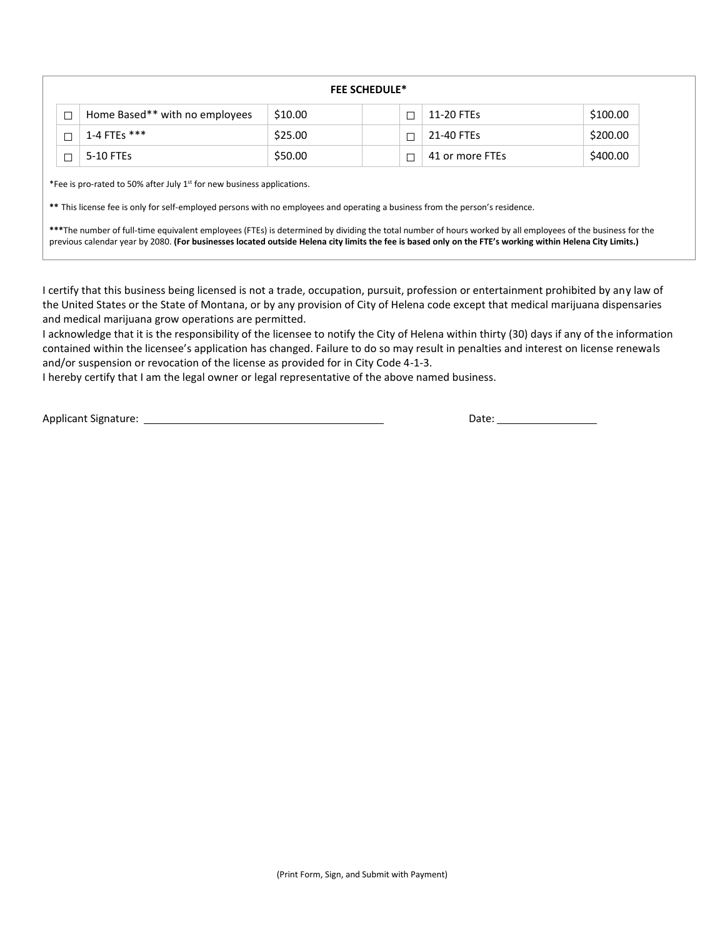|        | <b>FEE SCHEDULE*</b>           |         |  |                 |          |  |
|--------|--------------------------------|---------|--|-----------------|----------|--|
| $\Box$ | Home Based** with no employees | \$10.00 |  | 11-20 FTEs      | \$100.00 |  |
| П      | 1-4 FTEs $***$                 | \$25.00 |  | 21-40 FTEs      | \$200.00 |  |
|        | 5-10 FTEs                      | \$50.00 |  | 41 or more FTEs | \$400.00 |  |

\*Fee is pro-rated to 50% after July 1st for new business applications.

**\*\*** This license fee is only for self-employed persons with no employees and operating a business from the person's residence.

**\*\*\***The number of full-time equivalent employees (FTEs) is determined by dividing the total number of hours worked by all employees of the business for the previous calendar year by 2080. **(For businesses located outside Helena city limits the fee is based only on the FTE's working within Helena City Limits.)**

I certify that this business being licensed is not a trade, occupation, pursuit, profession or entertainment prohibited by any law of the United States or the State of Montana, or by any provision of City of Helena code except that medical marijuana dispensaries and medical marijuana grow operations are permitted.

I acknowledge that it is the responsibility of the licensee to notify the City of Helena within thirty (30) days if any of the information contained within the licensee's application has changed. Failure to do so may result in penalties and interest on license renewals and/or suspension or revocation of the license as provided for in City Code 4-1-3.

I hereby certify that I am the legal owner or legal representative of the above named business.

Applicant Signature: Date: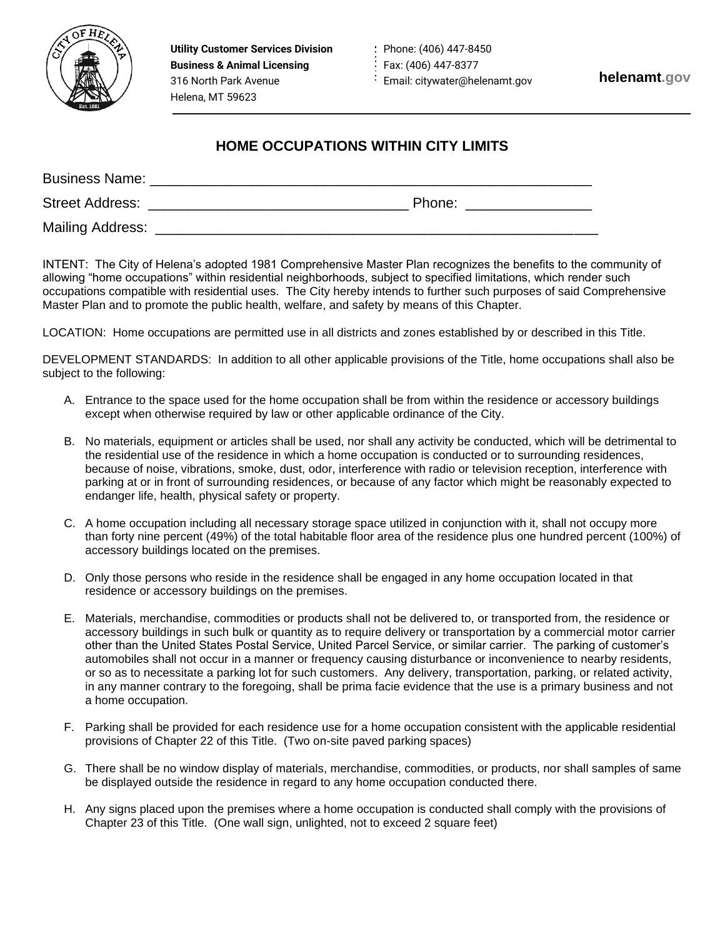

**Utility Customer Services Division : Phone: (406) 447-8450 Business & Animal Licensing** Fax: (406) 447-8377 316 North Park Avenue Email[: citywater@helenamt.gov](mailto:citywater@helenamt.gov) Helena, MT 59623

## **HOME OCCUPATIONS WITHIN CITY LIMITS**

| <b>Business Name:</b>  |        |
|------------------------|--------|
| <b>Street Address:</b> | Phone: |
| Mailing Address:       |        |

INTENT: The City of Helena's adopted 1981 Comprehensive Master Plan recognizes the benefits to the community of allowing "home occupations" within residential neighborhoods, subject to specified limitations, which render such occupations compatible with residential uses. The City hereby intends to further such purposes of said Comprehensive Master Plan and to promote the public health, welfare, and safety by means of this Chapter.

LOCATION: Home occupations are permitted use in all districts and zones established by or described in this Title.

DEVELOPMENT STANDARDS: In addition to all other applicable provisions of the Title, home occupations shall also be subject to the following:

- A. Entrance to the space used for the home occupation shall be from within the residence or accessory buildings except when otherwise required by law or other applicable ordinance of the City.
- B. No materials, equipment or articles shall be used, nor shall any activity be conducted, which will be detrimental to the residential use of the residence in which a home occupation is conducted or to surrounding residences, because of noise, vibrations, smoke, dust, odor, interference with radio or television reception, interference with parking at or in front of surrounding residences, or because of any factor which might be reasonably expected to endanger life, health, physical safety or property.
- C. A home occupation including all necessary storage space utilized in conjunction with it, shall not occupy more than forty nine percent (49%) of the total habitable floor area of the residence plus one hundred percent (100%) of accessory buildings located on the premises.
- D. Only those persons who reside in the residence shall be engaged in any home occupation located in that residence or accessory buildings on the premises.
- E. Materials, merchandise, commodities or products shall not be delivered to, or transported from, the residence or accessory buildings in such bulk or quantity as to require delivery or transportation by a commercial motor carrier other than the United States Postal Service, United Parcel Service, or similar carrier. The parking of customer's automobiles shall not occur in a manner or frequency causing disturbance or inconvenience to nearby residents, or so as to necessitate a parking lot for such customers. Any delivery, transportation, parking, or related activity, in any manner contrary to the foregoing, shall be prima facie evidence that the use is a primary business and not a home occupation.
- F. Parking shall be provided for each residence use for a home occupation consistent with the applicable residential provisions of Chapter 22 of this Title. (Two on-site paved parking spaces)
- G. There shall be no window display of materials, merchandise, commodities, or products, nor shall samples of same be displayed outside the residence in regard to any home occupation conducted there.
- H. Any signs placed upon the premises where a home occupation is conducted shall comply with the provisions of Chapter 23 of this Title. (One wall sign, unlighted, not to exceed 2 square feet)